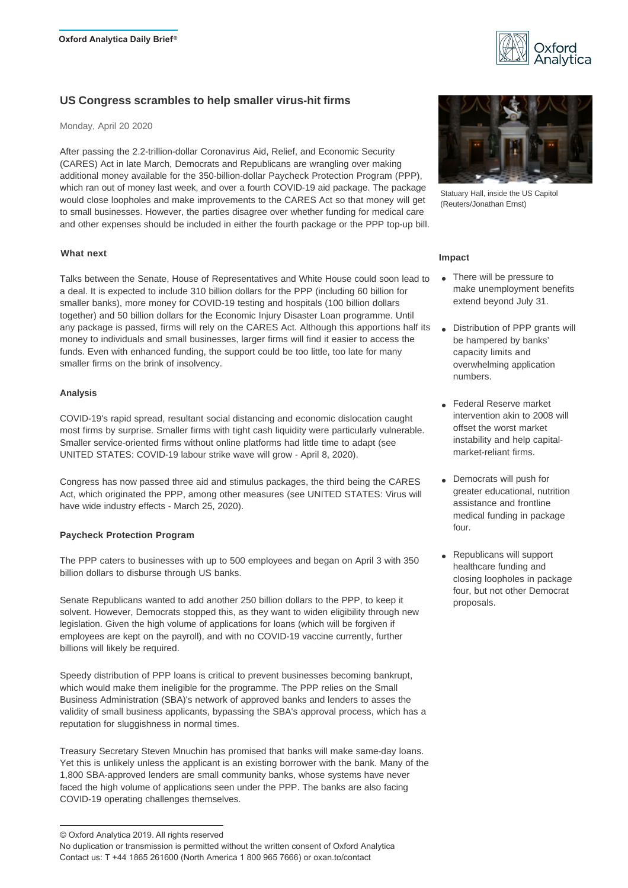

# **US Congress scrambles to help smaller virus-hit firms**

Monday, April 20 2020

After passing the 2.2-trillion-dollar Coronavirus Aid, Relief, and Economic Security (CARES) Act in late March, Democrats and Republicans are wrangling over making additional money available for the 350-billion-dollar Paycheck Protection Program (PPP), which ran out of money last week, and over a fourth COVID-19 aid package. The package would close loopholes and make improvements to the CARES Act so that money will get to small businesses. However, the parties disagree over whether funding for medical care and other expenses should be included in either the fourth package or the PPP top-up bill.

## **What next**

Talks between the Senate, House of Representatives and White House could soon lead to a deal. It is expected to include 310 billion dollars for the PPP (including 60 billion for smaller banks), more money for COVID-19 testing and hospitals (100 billion dollars together) and 50 billion dollars for the Economic Injury Disaster Loan programme. Until any package is passed, firms will rely on the CARES Act. Although this apportions half its money to individuals and small businesses, larger firms will find it easier to access the funds. Even with enhanced funding, the support could be too little, too late for many smaller firms on the brink of insolvency.

## **Analysis**

COVID-19's rapid spread, resultant social distancing and economic dislocation caught most firms by surprise. Smaller firms with tight cash liquidity were particularly vulnerable. Smaller service-oriented firms without online platforms had little time to adapt (see UNITED STATES: COVID-19 labour strike wave will grow - April 8, 2020).

Congress has now passed three aid and stimulus packages, the third being the CARES Act, which originated the PPP, among other measures (see UNITED STATES: Virus will have wide industry effects - March 25, 2020).

## **Paycheck Protection Program**

The PPP caters to businesses with up to 500 employees and began on April 3 with 350 billion dollars to disburse through US banks.

Senate Republicans wanted to add another 250 billion dollars to the PPP, to keep it solvent. However, Democrats stopped this, as they want to widen eligibility through new legislation. Given the high volume of applications for loans (which will be forgiven if employees are kept on the payroll), and with no COVID-19 vaccine currently, further billions will likely be required.

Speedy distribution of PPP loans is critical to prevent businesses becoming bankrupt, which would make them ineligible for the programme. The PPP relies on the Small Business Administration (SBA)'s network of approved banks and lenders to asses the validity of small business applicants, bypassing the SBA's approval process, which has a reputation for sluggishness in normal times.

Treasury Secretary Steven Mnuchin has promised that banks will make same-day loans. Yet this is unlikely unless the applicant is an existing borrower with the bank. Many of the 1,800 SBA-approved lenders are small community banks, whose systems have never faced the high volume of applications seen under the PPP. The banks are also facing COVID-19 operating challenges themselves.



Statuary Hall, inside the US Capitol (Reuters/Jonathan Ernst)

## **Impact**

- There will be pressure to make unemployment benefits extend beyond July 31.
- Distribution of PPP grants will be hampered by banks' capacity limits and overwhelming application numbers.
- Federal Reserve market intervention akin to 2008 will offset the worst market instability and help capital market-reliant firms.
- Democrats will push for greater educational, nutrition assistance and frontline medical funding in package four.
- Republicans will support healthcare funding and closing loopholes in package four, but not other Democrat proposals.

<sup>©</sup> Oxford Analytica 2019. All rights reserved

No duplication or transmission is permitted without the written consent of Oxford Analytica Contact us: T +44 1865 261600 (North America 1 800 965 7666) or oxan.to/contact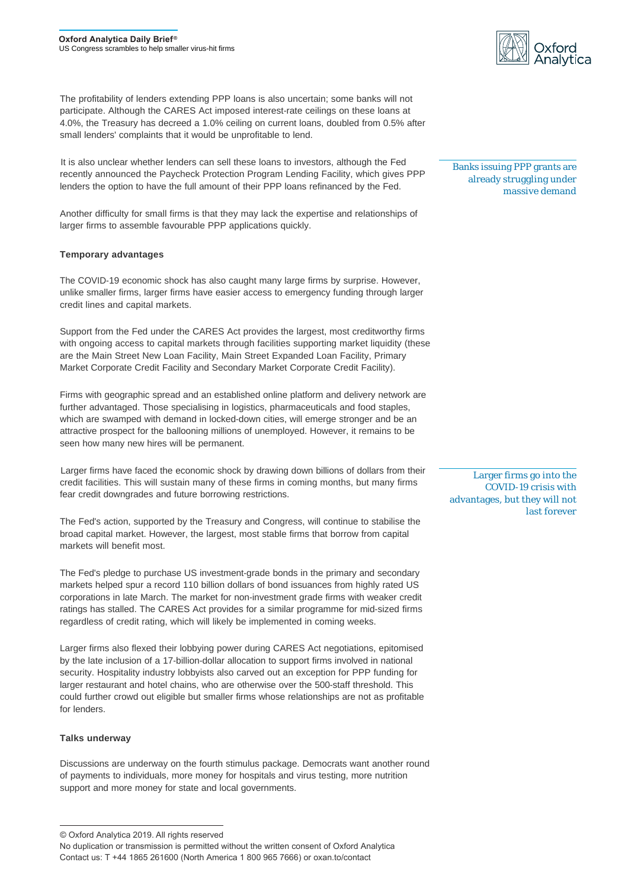The profitability of lenders extending PPP loans is also uncertain; some banks will not participate. Although the CARES Act imposed interest-rate ceilings on these loans at 4.0%, the Treasury has decreed a 1.0% ceiling on current loans, doubled from 0.5% after small lenders' complaints that it would be unprofitable to lend.

It is also unclear whether lenders can sell these loans to investors, although the Fed recently announced the Paycheck Protection Program Lending Facility, which gives PPP lenders the option to have the full amount of their PPP loans refinanced by the Fed.

Another difficulty for small firms is that they may lack the expertise and relationships of larger firms to assemble favourable PPP applications quickly.

## **Temporary advantages**

The COVID-19 economic shock has also caught many large firms by surprise. However, unlike smaller firms, larger firms have easier access to emergency funding through larger credit lines and capital markets.

Support from the Fed under the CARES Act provides the largest, most creditworthy firms with ongoing access to capital markets through facilities supporting market liquidity (these are the Main Street New Loan Facility, Main Street Expanded Loan Facility, Primary Market Corporate Credit Facility and Secondary Market Corporate Credit Facility).

Firms with geographic spread and an established online platform and delivery network are further advantaged. Those specialising in logistics, pharmaceuticals and food staples, which are swamped with demand in locked-down cities, will emerge stronger and be an attractive prospect for the ballooning millions of unemployed. However, it remains to be seen how many new hires will be permanent.

Larger firms have faced the economic shock by drawing down billions of dollars from their credit facilities. This will sustain many of these firms in coming months, but many firms fear credit downgrades and future borrowing restrictions.

The Fed's action, supported by the Treasury and Congress, will continue to stabilise the broad capital market. However, the largest, most stable firms that borrow from capital markets will benefit most.

The Fed's pledge to purchase US investment-grade bonds in the primary and secondary markets helped spur a record 110 billion dollars of bond issuances from highly rated US corporations in late March. The market for non-investment grade firms with weaker credit ratings has stalled. The CARES Act provides for a similar programme for mid-sized firms regardless of credit rating, which will likely be implemented in coming weeks.

Larger firms also flexed their lobbying power during CARES Act negotiations, epitomised by the late inclusion of a 17-billion-dollar allocation to support firms involved in national security. Hospitality industry lobbyists also carved out an exception for PPP funding for larger restaurant and hotel chains, who are otherwise over the 500-staff threshold. This could further crowd out eligible but smaller firms whose relationships are not as profitable for lenders.

#### **Talks underway**

Discussions are underway on the fourth stimulus package. Democrats want another round of payments to individuals, more money for hospitals and virus testing, more nutrition support and more money for state and local governments.



Banks issuing PPP grants are already struggling under massive demand

Larger firms go into the COVID-19 crisis with advantages, but they will not last forever

<sup>©</sup> Oxford Analytica 2019. All rights reserved

No duplication or transmission is permitted without the written consent of Oxford Analytica Contact us: T +44 1865 261600 (North America 1 800 965 7666) or oxan.to/contact